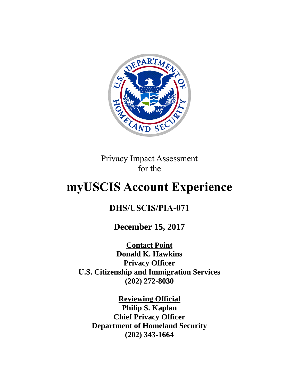

Privacy Impact Assessment for the

# **myUSCIS Account Experience**

# **DHS/USCIS/PIA-071**

**December 15, 2017**

**Contact Point Donald K. Hawkins Privacy Officer U.S. Citizenship and Immigration Services (202) 272-8030**

**Reviewing Official Philip S. Kaplan Chief Privacy Officer Department of Homeland Security (202) 343-1664**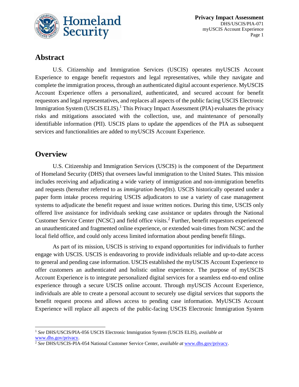

# **Abstract**

U.S. Citizenship and Immigration Services (USCIS) operates myUSCIS Account Experience to engage benefit requestors and legal representatives, while they navigate and complete the immigration process, through an authenticated digital account experience. MyUSCIS Account Experience offers a personalized, authenticated, and secured account for benefit requestors and legal representatives, and replaces all aspects of the public facing USCIS Electronic Immigration System (USCIS ELIS).<sup>1</sup> This Privacy Impact Assessment (PIA) evaluates the privacy risks and mitigations associated with the collection, use, and maintenance of personally identifiable information (PII). USCIS plans to update the appendices of the PIA as subsequent services and functionalities are added to myUSCIS Account Experience.

# **Overview**

 $\overline{\phantom{a}}$ 

U.S. Citizenship and Immigration Services (USCIS) is the component of the Department of Homeland Security (DHS) that oversees lawful immigration to the United States. This mission includes receiving and adjudicating a wide variety of immigration and non-immigration benefits and requests (hereafter referred to as *immigration benefits*). USCIS historically operated under a paper form intake process requiring USCIS adjudicators to use a variety of case management systems to adjudicate the benefit request and issue written notices. During this time, USCIS only offered live assistance for individuals seeking case assistance or updates through the National Customer Service Center (NCSC) and field office visits. <sup>2</sup> Further, benefit requestors experienced an unauthenticated and fragmented online experience, or extended wait-times from NCSC and the local field office, and could only access limited information about pending benefit filings.

As part of its mission, USCIS is striving to expand opportunities for individuals to further engage with USCIS. USCIS is endeavoring to provide individuals reliable and up-to-date access to general and pending case information. USCIS established the myUSCIS Account Experience to offer customers an authenticated and holistic online experience. The purpose of myUSCIS Account Experience is to integrate personalized digital services for a seamless end-to-end online experience through a secure USCIS online account. Through myUSCIS Account Experience, individuals are able to create a personal account to securely use digital services that supports the benefit request process and allows access to pending case information. MyUSCIS Account Experience will replace all aspects of the public-facing USCIS Electronic Immigration System

<sup>1</sup> *See* DHS/USCIS/PIA-056 USCIS Electronic Immigration System (USCIS ELIS), *available at*  [www.dhs.gov/privacy.](http://www.dhs.gov/privacy)

<sup>2</sup> *See* DHS/USCIS-PIA-054 National Customer Service Center, *available at* [www.dhs.gov/privacy.](http://www.dhs.gov/privacy)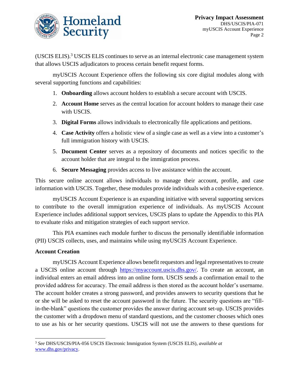

(USCIS ELIS).<sup>3</sup> USCIS ELIS continues to serve as an internal electronic case management system that allows USCIS adjudicators to process certain benefit request forms.

myUSCIS Account Experience offers the following six core digital modules along with several supporting functions and capabilities:

- 1. **Onboarding** allows account holders to establish a secure account with USCIS.
- 2. **Account Home** serves as the central location for account holders to manage their case with USCIS.
- 3. **Digital Forms** allows individuals to electronically file applications and petitions.
- 4. **Case Activity** offers a holistic view of a single case as well as a view into a customer's full immigration history with USCIS.
- 5. **Document Center** serves as a repository of documents and notices specific to the account holder that are integral to the immigration process.
- 6. **Secure Messaging** provides access to live assistance within the account.

This secure online account allows individuals to manage their account, profile, and case information with USCIS. Together, these modules provide individuals with a cohesive experience.

myUSCIS Account Experience is an expanding initiative with several supporting services to contribute to the overall immigration experience of individuals. As myUSCIS Account Experience includes additional support services, USCIS plans to update the Appendix to this PIA to evaluate risks and mitigation strategies of each support service.

This PIA examines each module further to discuss the personally identifiable information (PII) USCIS collects, uses, and maintains while using myUSCIS Account Experience.

#### **Account Creation**

 $\overline{\phantom{a}}$ 

myUSCIS Account Experience allows benefit requestors and legal representatives to create a USCIS online account through [https://myaccount.uscis.dhs.gov/.](https://myaccount.uscis.dhs.gov/) To create an account, an individual enters an email address into an online form. USCIS sends a confirmation email to the provided address for accuracy. The email address is then stored as the account holder's username. The account holder creates a strong password, and provides answers to security questions that he or she will be asked to reset the account password in the future. The security questions are "fillin-the-blank" questions the customer provides the answer during account set-up. USCIS provides the customer with a dropdown menu of standard questions, and the customer chooses which ones to use as his or her security questions. USCIS will not use the answers to these questions for

<sup>3</sup> *See* DHS/USCIS/PIA-056 USCIS Electronic Immigration System (USCIS ELIS), *available at*  [www.dhs.gov/privacy.](http://www.dhs.gov/privacy)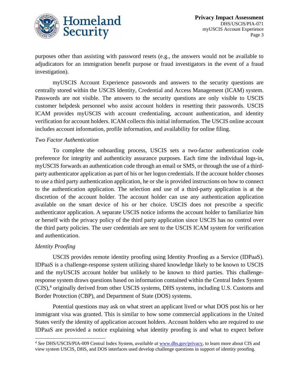

purposes other than assisting with password resets (e.g., the answers would not be available to adjudicators for an immigration benefit purpose or fraud investigators in the event of a fraud investigation).

myUSCIS Account Experience passwords and answers to the security questions are centrally stored within the USCIS Identity, Credential and Access Management (ICAM) system. Passwords are not visible. The answers to the security questions are only visible to USCIS customer helpdesk personnel who assist account holders in resetting their passwords. USCIS ICAM provides myUSCIS with account credentialing, account authentication, and identity verification for account holders. ICAM collects this initial information. The USCIS online account includes account information, profile information, and availability for online filing.

#### *Two Factor Authentication*

To complete the onboarding process, USCIS sets a two-factor authentication code preference for integrity and authenticity assurance purposes. Each time the individual logs-in, myUSCIS forwards an authentication code through an email or SMS, or through the use of a thirdparty authenticator application as part of his or her logon credentials. If the account holder chooses to use a third party authentication application, he or she is provided instructions on how to connect to the authentication application. The selection and use of a third-party application is at the discretion of the account holder. The account holder can use any authentication application available on the smart device of his or her choice. USCIS does not prescribe a specific authenticator application. A separate USCIS notice informs the account holder to familiarize him or herself with the privacy policy of the third party application since USCIS has no control over the third party policies. The user credentials are sent to the USCIS ICAM system for verification and authentication.

#### *Identity Proofing*

 $\overline{\phantom{a}}$ 

USCIS provides remote identity proofing using Identity Proofing as a Service (IDPaaS). IDPaaS is a challenge-response system utilizing shared knowledge likely to be known to USCIS and the myUSCIS account holder but unlikely to be known to third parties. This challengeresponse system draws questions based on information contained within the Central Index System (CIS), <sup>4</sup> originally derived from other USCIS systems, DHS systems, including U.S. Customs and Border Protection (CBP), and Department of State (DOS) systems.

Potential questions may ask on what street an applicant lived or what DOS post his or her immigrant visa was granted. This is similar to how some commercial applications in the United States verify the identity of application account holders. Account holders who are required to use IDPaaS are provided a notice explaining what identity proofing is and what to expect before

<sup>4</sup> *See* DHS/USCIS/PIA-009 Central Index System, *available at* [www.dhs.gov/privacy,](http://www.dhs.gov/privacy) to learn more about CIS and view system USCIS, DHS, and DOS interfaces used develop challenge questions in support of identity proofing.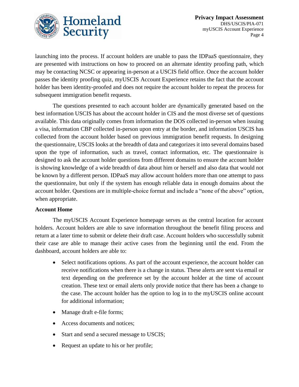

launching into the process. If account holders are unable to pass the IDPaaS questionnaire, they are presented with instructions on how to proceed on an alternate identity proofing path, which may be contacting NCSC or appearing in-person at a USCIS field office. Once the account holder passes the identity proofing quiz, myUSCIS Account Experience retains the fact that the account holder has been identity-proofed and does not require the account holder to repeat the process for subsequent immigration benefit requests.

The questions presented to each account holder are dynamically generated based on the best information USCIS has about the account holder in CIS and the most diverse set of questions available. This data originally comes from information the DOS collected in-person when issuing a visa, information CBP collected in-person upon entry at the border, and information USCIS has collected from the account holder based on previous immigration benefit requests. In designing the questionnaire, USCIS looks at the breadth of data and categorizes it into several domains based upon the type of information, such as travel, contact information, etc. The questionnaire is designed to ask the account holder questions from different domains to ensure the account holder is showing knowledge of a wide breadth of data about him or herself and also data that would not be known by a different person. IDPaaS may allow account holders more than one attempt to pass the questionnaire, but only if the system has enough reliable data in enough domains about the account holder. Questions are in multiple-choice format and include a "none of the above" option, when appropriate.

#### **Account Home**

The myUSCIS Account Experience homepage serves as the central location for account holders. Account holders are able to save information throughout the benefit filing process and return at a later time to submit or delete their draft case. Account holders who successfully submit their case are able to manage their active cases from the beginning until the end. From the dashboard, account holders are able to:

- Select notifications options. As part of the account experience, the account holder can receive notifications when there is a change in status. These alerts are sent via email or text depending on the preference set by the account holder at the time of account creation. These text or email alerts only provide notice that there has been a change to the case. The account holder has the option to log in to the myUSCIS online account for additional information;
- Manage draft e-file forms;
- Access documents and notices;
- Start and send a secured message to USCIS;
- Request an update to his or her profile;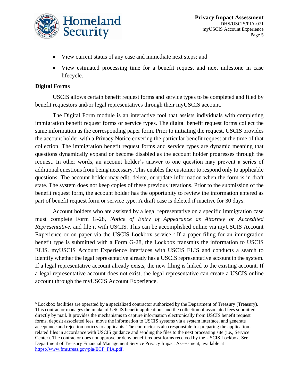

- View current status of any case and immediate next steps; and
- View estimated processing time for a benefit request and next milestone in case lifecycle.

#### **Digital Forms**

 $\overline{\phantom{a}}$ 

USCIS allows certain benefit request forms and service types to be completed and filed by benefit requestors and/or legal representatives through their myUSCIS account.

The Digital Form module is an interactive tool that assists individuals with completing immigration benefit request forms or service types. The digital benefit request forms collect the same information as the corresponding paper form. Prior to initiating the request, USCIS provides the account holder with a Privacy Notice covering the particular benefit request at the time of that collection. The immigration benefit request forms and service types are dynamic meaning that questions dynamically expand or become disabled as the account holder progresses through the request. In other words, an account holder's answer to one question may prevent a series of additional questions from being necessary. This enables the customer to respond only to applicable questions. The account holder may edit, delete, or update information when the form is in draft state. The system does not keep copies of these previous iterations. Prior to the submission of the benefit request form, the account holder has the opportunity to review the information entered as part of benefit request form or service type. A draft case is deleted if inactive for 30 days.

Account holders who are assisted by a legal representative on a specific immigration case must complete Form G-28, *Notice of Entry of Appearance as Attorney or Accredited Representative,* and file it with USCIS. This can be accomplished online via myUSCIS Account Experience or on paper via the USCIS Lockbox service.<sup>5</sup> If a paper filing for an immigration benefit type is submitted with a Form G-28, the Lockbox transmits the information to USCIS ELIS. myUSCIS Account Experience interfaces with USCIS ELIS and conducts a search to identify whether the legal representative already has a USCIS representative account in the system. If a legal representative account already exists, the new filing is linked to the existing account. If a legal representative account does not exist, the legal representative can create a USCIS online account through the myUSCIS Account Experience.

 $<sup>5</sup>$  Lockbox facilities are operated by a specialized contractor authorized by the Department of Treasury (Treasury).</sup> This contractor manages the intake of USCIS benefit applications and the collection of associated fees submitted directly by mail. It provides the mechanisms to capture information electronically from USCIS benefit request forms, deposit associated fees, move the information to USCIS systems via a system interface, and generate acceptance and rejection notices to applicants. The contractor is also responsible for preparing the applicationrelated files in accordance with USCIS guidance and sending the files to the next processing site (i.e., Service Center). The contractor does not approve or deny benefit request forms received by the USCIS Lockbox. See Department of Treasury Financial Management Service Privacy Impact Assessment, available at [https://www.fms.treas.gov/pia/ECP\\_PIA.pdf.](https://www.fms.treas.gov/pia/ECP_PIA.pdf)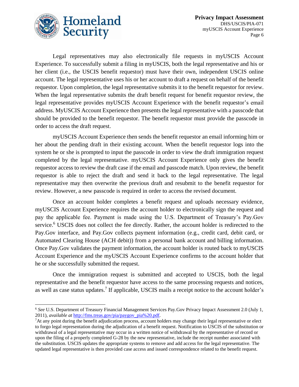



l

Legal representatives may also electronically file requests in myUSCIS Account Experience. To successfully submit a filing in myUSCIS, both the legal representative and his or her client (i.e., the USCIS benefit requestor) must have their own, independent USCIS online account. The legal representative uses his or her account to draft a request on behalf of the benefit requestor. Upon completion, the legal representative submits it to the benefit requestor for review. When the legal representative submits the draft benefit request for benefit requestor review, the legal representative provides myUSCIS Account Experience with the benefit requestor's email address. MyUSCIS Account Experience then presents the legal representative with a passcode that should be provided to the benefit requestor. The benefit requestor must provide the passcode in order to access the draft request.

myUSCIS Account Experience then sends the benefit requestor an email informing him or her about the pending draft in their existing account. When the benefit requestor logs into the system he or she is prompted to input the passcode in order to view the draft immigration request completed by the legal representative. myUSCIS Account Experience only gives the benefit requestor access to review the draft case if the email and passcode match. Upon review, the benefit requestor is able to reject the draft and send it back to the legal representative. The legal representative may then overwrite the previous draft and resubmit to the benefit requestor for review. However, a new passcode is required in order to access the revised document.

Once an account holder completes a benefit request and uploads necessary evidence, myUSCIS Account Experience requires the account holder to electronically sign the request and pay the applicable fee. Payment is made using the U.S. Department of Treasury's Pay.Gov service.<sup>6</sup> USCIS does not collect the fee directly. Rather, the account holder is redirected to the Pay.Gov interface, and Pay.Gov collects payment information (e.g., credit card, debit card, or Automated Clearing House (ACH debit)) from a personal bank account and billing information. Once Pay.Gov validates the payment information, the account holder is routed back to myUSCIS Account Experience and the myUSCIS Account Experience confirms to the account holder that he or she successfully submitted the request.

Once the immigration request is submitted and accepted to USCIS, both the legal representative and the benefit requestor have access to the same processing requests and notices, as well as case status updates.<sup>7</sup> If applicable, USCIS mails a receipt notice to the account holder's

<sup>6</sup> *See* U.S. Department of Treasury Financial Management Services Pay.Gov Privacy Impact Assessment 2.0 (July 1, 2011), *available at* [http://fms.treas.gov/pia/paygov\\_pia%20.pdf.](http://fms.treas.gov/pia/paygov_pia%20.pdf)

 ${}^{7}$ At any point during the benefit adjudication process, account holders may change their legal representative or elect to forgo legal representation during the adjudication of a benefit request. Notification to USCIS of the substitution or withdrawal of a legal representative may occur in a written notice of withdrawal by the representative of record or upon the filing of a properly completed G-28 by the new representative, include the receipt number associated with the substitution. USCIS updates the appropriate systems to remove and add access for the legal representative. The updated legal representative is then provided case access and issued correspondence related to the benefit request.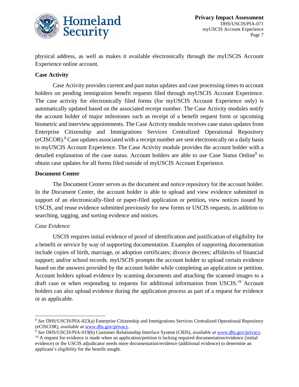

physical address, as well as makes it available electronically through the myUSCIS Account Experience online account.

#### **Case Activity**

Case Activity provides current and past status updates and case processing times to account holders on pending immigration benefit requests filed through myUSCIS Account Experience. The case activity for electronically filed forms (for myUSCIS Account Experience only) is automatically updated based on the associated receipt number. The Case Activity modules notify the account holder of major milestones such as receipt of a benefit request form or upcoming biometric and interview appointments. The Case Activity module receives case status updates from Enterprise Citizenship and Immigrations Services Centralized Operational Repository (eCISCOR). <sup>8</sup> Case updates associated with a receipt number are sent electronically on a daily basis to myUSCIS Account Experience. The Case Activity module provides the account holder with a detailed explanation of the case status. Account holders are able to use Case Status Online<sup>9</sup> to obtain case updates for all forms filed outside of myUSCIS Account Experience.

#### **Document Center**

The Document Center serves as the document and notice repository for the account holder. In the Document Center, the account holder is able to upload and view evidence submitted in support of an electronically-filed or paper-filed application or petition, view notices issued by USCIS, and reuse evidence submitted previously for new forms or USCIS requests, in addition to searching, tagging, and sorting evidence and notices.

#### *Case Evidence*

 $\overline{\phantom{a}}$ 

USCIS requires initial evidence of proof of identification and justification of eligibility for a benefit or service by way of supporting documentation. Examples of supporting documentation include copies of birth, marriage, or adoption certificates; divorce decrees; affidavits of financial support; and/or school records. myUSCIS prompts the account holder to upload certain evidence based on the answers provided by the account holder while completing an application or petition. Account holders upload evidence by scanning documents and attaching the scanned images to a draft case or when responding to requests for additional information from USCIS.<sup>10</sup> Account holders can also upload evidence during the application process as part of a request for evidence or as applicable.

<sup>8</sup> *See* DHS/USCIS/PIA-023(a) Enterprise Citizenship and Immigrations Services Centralized Operational Repository (eCISCOR), *available at* [www.dhs.gov/privacy.](http://www.dhs.gov/privacy)

<sup>9</sup> *See* DHS/USCIS/PIA-019(b) Customer Relationship Interface System (CRIS), *available at* [www.dhs.gov/privacy.](http://www.dhs.gov/privacy)

 $10$  A request for evidence is made when an application/petition is lacking required documentation/evidence (initial evidence) or the USCIS adjudicator needs more documentation/evidence (additional evidence) to determine an applicant's eligibility for the benefit sought.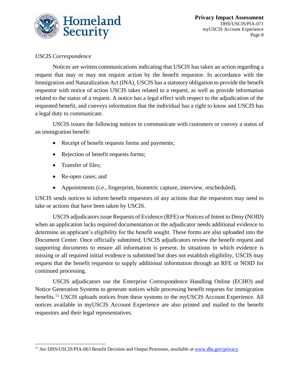

#### *USCIS Correspondence*

Notices are written communications indicating that USCIS has taken an action regarding a request that may or may not require action by the benefit requestor. In accordance with the Immigration and Naturalization Act (INA), USCIS has a statutory obligation to provide the benefit requestor with notice of action USCIS takes related to a request, as well as provide information related to the status of a request. A notice has a legal effect with respect to the adjudication of the requested benefit, and conveys information that the individual has a right to know and USCIS has a legal duty to communicate.

USCIS issues the following notices to communicate with customers or convey a status of an immigration benefit:

- Receipt of benefit requests forms and payments;
- Rejection of benefit requests forms;
- Transfer of files;
- Re-open cases; and
- Appointments (i.e., fingerprint, biometric capture, interview, rescheduled).

USCIS sends notices to inform benefit requestors of any actions that the requestors may need to take or actions that have been taken by USCIS.

USCIS adjudicators issue Requests of Evidence (RFE) or Notices of Intent to Deny (NOID) when an application lacks required documentation or the adjudicator needs additional evidence to determine an applicant's eligibility for the benefit sought. These forms are also uploaded into the Document Center. Once officially submitted, USCIS adjudicators review the benefit request and supporting documents to ensure all information is present. In situations in which evidence is missing or all required initial evidence is submitted but does not establish eligibility, USCIS may request that the benefit requestor to supply additional information through an RFE or NOID for continued processing.

USCIS adjudicators use the Enterprise Correspondence Handling Online (ECHO) and Notice Generation Systems to generate notices while processing benefit requests for immigration benefits.<sup>11</sup> USCIS uploads notices from these systems to the myUSCIS Account Experience. All notices available in myUSCIS Account Experience are also printed and mailed to the benefit requestors and their legal representatives.

 $\overline{\phantom{a}}$ <sup>11</sup> *See* DHS/USCIS/PIA-063 Benefit Decision and Output Processes, *available a*t [www.dhs.gov/privacy.](http://www.dhs.gov/privacy)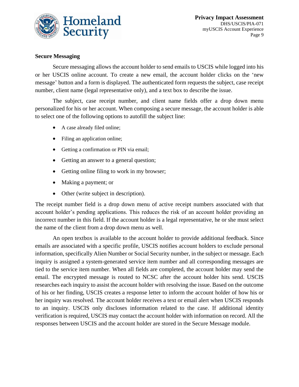

#### **Secure Messaging**

Secure messaging allows the account holder to send emails to USCIS while logged into his or her USCIS online account. To create a new email, the account holder clicks on the 'new message' button and a form is displayed. The authenticated form requests the subject, case receipt number, client name (legal representative only), and a text box to describe the issue.

The subject, case receipt number, and client name fields offer a drop down menu personalized for his or her account. When composing a secure message, the account holder is able to select one of the following options to autofill the subject line:

- A case already filed online;
- Filing an application online;
- Getting a confirmation or PIN via email;
- Getting an answer to a general question;
- Getting online filing to work in my browser;
- Making a payment; or
- Other (write subject in description).

The receipt number field is a drop down menu of active receipt numbers associated with that account holder's pending applications. This reduces the risk of an account holder providing an incorrect number in this field. If the account holder is a legal representative, he or she must select the name of the client from a drop down menu as well.

An open textbox is available to the account holder to provide additional feedback. Since emails are associated with a specific profile, USCIS notifies account holders to exclude personal information, specifically Alien Number or Social Security number, in the subject or message. Each inquiry is assigned a system-generated service item number and all corresponding messages are tied to the service item number. When all fields are completed, the account holder may send the email. The encrypted message is routed to NCSC after the account holder hits send. USCIS researches each inquiry to assist the account holder with resolving the issue. Based on the outcome of his or her finding, USCIS creates a response letter to inform the account holder of how his or her inquiry was resolved. The account holder receives a text or email alert when USCIS responds to an inquiry. USCIS only discloses information related to the case. If additional identity verification is required, USCIS may contact the account holder with information on record. All the responses between USCIS and the account holder are stored in the Secure Message module.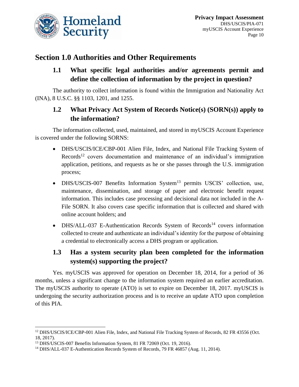

# **Section 1.0 Authorities and Other Requirements**

### **1.1 What specific legal authorities and/or agreements permit and define the collection of information by the project in question?**

The authority to collect information is found within the Immigration and Nationality Act (INA), 8 U.S.C. §§ 1103, 1201, and 1255.

### **1.2 What Privacy Act System of Records Notice(s) (SORN(s)) apply to the information?**

The information collected, used, maintained, and stored in myUSCIS Account Experience is covered under the following SORNS:

- DHS/USCIS/ICE/CBP-001 Alien File, Index, and National File Tracking System of Records<sup>12</sup> covers documentation and maintenance of an individual's immigration application, petitions, and requests as he or she passes through the U.S. immigration process;
- DHS/USCIS-007 Benefits Information System<sup>13</sup> permits USCIS' collection, use, maintenance, dissemination, and storage of paper and electronic benefit request information. This includes case processing and decisional data not included in the A-File SORN. It also covers case specific information that is collected and shared with online account holders; and
- $\bullet$  DHS/ALL-037 E-Authentication Records System of Records<sup>14</sup> covers information collected to create and authenticate an individual's identity for the purpose of obtaining a credential to electronically access a DHS program or application.

### **1.3 Has a system security plan been completed for the information system(s) supporting the project?**

Yes. myUSCIS was approved for operation on December 18, 2014, for a period of 36 months, unless a significant change to the information system required an earlier accreditation. The myUSCIS authority to operate (ATO) is set to expire on December 18, 2017. myUSCIS is undergoing the security authorization process and is to receive an update ATO upon completion of this PIA.

 $\overline{\phantom{a}}$ 

<sup>&</sup>lt;sup>12</sup> DHS/USCIS/ICE/CBP-001 Alien File, Index, and National File Tracking System of Records, 82 FR 43556 (Oct. 18, 2017).

<sup>13</sup> DHS/USCIS-007 Benefits Information System, 81 FR 72069 (Oct. 19, 2016).

<sup>&</sup>lt;sup>14</sup> DHS/ALL-037 E-Authentication Records System of Records, 79 FR 46857 (Aug. 11, 2014).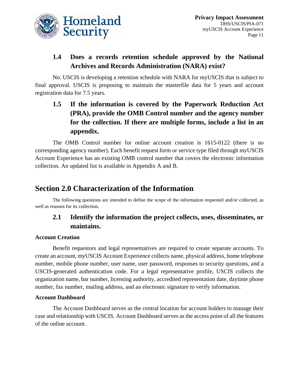

### **1.4 Does a records retention schedule approved by the National Archives and Records Administration (NARA) exist?**

No. USCIS is developing a retention schedule with NARA for myUSCIS that is subject to final approval. USCIS is proposing to maintain the masterfile data for 5 years and account registration data for 7.5 years.

# **1.5 If the information is covered by the Paperwork Reduction Act (PRA), provide the OMB Control number and the agency number for the collection. If there are multiple forms, include a list in an appendix.**

The OMB Control number for online account creation is 1615-0122 (there is no corresponding agency number). Each benefit request form or service type filed through myUSCIS Account Experience has an existing OMB control number that covers the electronic information collection. An updated list is available in Appendix A and B.

### **Section 2.0 Characterization of the Information**

The following questions are intended to define the scope of the information requested and/or collected, as well as reasons for its collection.

### **2.1 Identify the information the project collects, uses, disseminates, or maintains.**

#### **Account Creation**

Benefit requestors and legal representatives are required to create separate accounts. To create an account, myUSCIS Account Experience collects name, physical address, home telephone number, mobile phone number, user name, user password, responses to security questions, and a USCIS-generated authentication code. For a legal representative profile, USCIS collects the organization name, bar number, licensing authority, accredited representation date, daytime phone number, fax number, mailing address, and an electronic signature to verify information.

#### **Account Dashboard**

The Account Dashboard serves as the central location for account holders to manage their case and relationship with USCIS. Account Dashboard serves as the access point of all the features of the online account.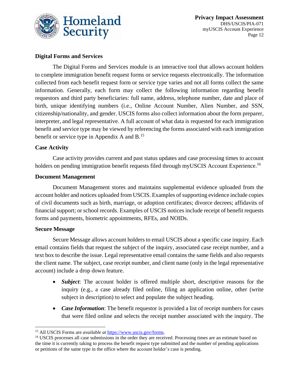

#### **Digital Forms and Services**

The Digital Forms and Services module is an interactive tool that allows account holders to complete immigration benefit request forms or service requests electronically. The information collected from each benefit request form or service type varies and not all forms collect the same information. Generally, each form may collect the following information regarding benefit requestors and third party beneficiaries: full name, address, telephone number, date and place of birth, unique identifying numbers (i.e., Online Account Number, Alien Number, and SSN, citizenship/nationality, and gender. USCIS forms also collect information about the form preparer, interpreter, and legal representative. A full account of what data is requested for each immigration benefit and service type may be viewed by referencing the forms associated with each immigration benefit or service type in Appendix A and B.<sup>15</sup>

#### **Case Activity**

Case activity provides current and past status updates and case processing times to account holders on pending immigration benefit requests filed through myUSCIS Account Experience.<sup>16</sup>

#### **Document Management**

Document Management stores and maintains supplemental evidence uploaded from the account holder and notices uploaded from USCIS. Examples of supporting evidence include copies of civil documents such as birth, marriage, or adoption certificates; divorce decrees; affidavits of financial support; or school records. Examples of USCIS notices include receipt of benefit requests forms and payments, biometric appointments, RFEs, and NOIDs.

#### **Secure Message**

Secure Message allows account holders to email USCIS about a specific case inquiry. Each email contains fields that request the subject of the inquiry, associated case receipt number, and a text box to describe the issue. Legal representative email contains the same fields and also requests the client name. The subject, case receipt number, and client name (only in the legal representative account) include a drop down feature.

- *Subject*: The account holder is offered multiple short, descriptive reasons for the inquiry (e.g., a case already filed online, filing an application online, other (write subject in description) to select and populate the subject heading.
- *Case Information*: The benefit requestor is provided a list of receipt numbers for cases that were filed online and selects the receipt number associated with the inquiry. The

 $\overline{\phantom{a}}$ <sup>15</sup> All USCIS Forms are *available at* [https://www.uscis.gov/forms.](https://www.uscis.gov/forms)

<sup>&</sup>lt;sup>16</sup> USCIS processes all case submissions in the order they are received. Processing times are an estimate based on the time it is currently taking to process the benefit request type submitted and the number of pending applications or petitions of the same type in the office where the account holder's case is pending.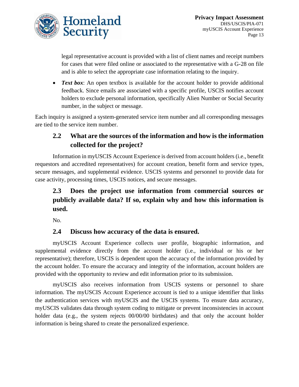

legal representative account is provided with a list of client names and receipt numbers for cases that were filed online or associated to the representative with a G-28 on file and is able to select the appropriate case information relating to the inquiry.

• **Text box:** An open textbox is available for the account holder to provide additional feedback. Since emails are associated with a specific profile, USCIS notifies account holders to exclude personal information, specifically Alien Number or Social Security number, in the subject or message.

Each inquiry is assigned a system-generated service item number and all corresponding messages are tied to the service item number.

### **2.2 What are the sources of the information and how is the information collected for the project?**

Information in myUSCIS Account Experience is derived from account holders (i.e., benefit requestors and accredited representatives) for account creation, benefit form and service types, secure messages, and supplemental evidence. USCIS systems and personnel to provide data for case activity, processing times, USCIS notices, and secure messages.

# **2.3 Does the project use information from commercial sources or publicly available data? If so, explain why and how this information is used.**

No.

#### **2.4 Discuss how accuracy of the data is ensured.**

myUSCIS Account Experience collects user profile, biographic information, and supplemental evidence directly from the account holder (i.e., individual or his or her representative); therefore, USCIS is dependent upon the accuracy of the information provided by the account holder. To ensure the accuracy and integrity of the information, account holders are provided with the opportunity to review and edit information prior to its submission.

myUSCIS also receives information from USCIS systems or personnel to share information. The myUSCIS Account Experience account is tied to a unique identifier that links the authentication services with myUSCIS and the USCIS systems. To ensure data accuracy, myUSCIS validates data through system coding to mitigate or prevent inconsistencies in account holder data (e.g., the system rejects  $00/00/00$  birthdates) and that only the account holder information is being shared to create the personalized experience.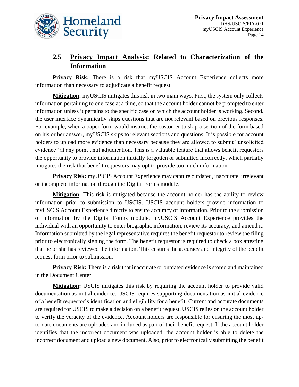

### **2.5 Privacy Impact Analysis: Related to Characterization of the Information**

**Privacy Risk:** There is a risk that myUSCIS Account Experience collects more information than necessary to adjudicate a benefit request.

**Mitigation:** myUSCIS mitigates this risk in two main ways. First, the system only collects information pertaining to one case at a time, so that the account holder cannot be prompted to enter information unless it pertains to the specific case on which the account holder is working. Second, the user interface dynamically skips questions that are not relevant based on previous responses. For example, when a paper form would instruct the customer to skip a section of the form based on his or her answer, myUSCIS skips to relevant sections and questions. It is possible for account holders to upload more evidence than necessary because they are allowed to submit "unsolicited evidence" at any point until adjudication. This is a valuable feature that allows benefit requestors the opportunity to provide information initially forgotten or submitted incorrectly, which partially mitigates the risk that benefit requestors may opt to provide too much information.

**Privacy Risk:** myUSCIS Account Experience may capture outdated, inaccurate, irrelevant or incomplete information through the Digital Forms module.

**Mitigation:** This risk is mitigated because the account holder has the ability to review information prior to submission to USCIS. USCIS account holders provide information to myUSCIS Account Experience directly to ensure accuracy of information. Prior to the submission of information by the Digital Forms module, myUSCIS Account Experience provides the individual with an opportunity to enter biographic information, review its accuracy, and amend it. Information submitted by the legal representative requires the benefit requestor to review the filing prior to electronically signing the form. The benefit requestor is required to check a box attesting that he or she has reviewed the information. This ensures the accuracy and integrity of the benefit request form prior to submission.

**Privacy Risk:** There is a risk that inaccurate or outdated evidence is stored and maintained in the Document Center.

**Mitigation:** USCIS mitigates this risk by requiring the account holder to provide valid documentation as initial evidence. USCIS requires supporting documentation as initial evidence of a benefit requestor's identification and eligibility for a benefit. Current and accurate documents are required for USCIS to make a decision on a benefit request. USCIS relies on the account holder to verify the veracity of the evidence. Account holders are responsible for ensuring the most upto-date documents are uploaded and included as part of their benefit request. If the account holder identifies that the incorrect document was uploaded, the account holder is able to delete the incorrect document and upload a new document. Also, prior to electronically submitting the benefit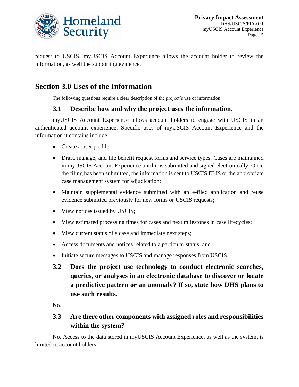

request to USCIS, myUSCIS Account Experience allows the account holder to review the information, as well the supporting evidence.

# **Section 3.0 Uses of the Information**

The following questions require a clear description of the project's use of information.

#### **3.1 Describe how and why the project uses the information.**

myUSCIS Account Experience allows account holders to engage with USCIS in an authenticated account experience. Specific uses of myUSCIS Account Experience and the information it contains include:

- Create a user profile;
- Draft, manage, and file benefit request forms and service types. Cases are maintained in myUSCIS Account Experience until it is submitted and signed electronically. Once the filing has been submitted, the information is sent to USCIS ELIS or the appropriate case management system for adjudication;
- Maintain supplemental evidence submitted with an e-filed application and reuse evidence submitted previously for new forms or USCIS requests;
- View notices issued by USCIS;
- View estimated processing times for cases and next milestones in case lifecycles;
- View current status of a case and immediate next steps;
- Access documents and notices related to a particular status; and
- Initiate secure messages to USCIS and manage responses from USCIS.
- **3.2 Does the project use technology to conduct electronic searches, queries, or analyses in an electronic database to discover or locate a predictive pattern or an anomaly? If so, state how DHS plans to use such results.**

No.

### **3.3 Are there other components with assigned roles and responsibilities within the system?**

No. Access to the data stored in myUSCIS Account Experience, as well as the system, is limited to account holders.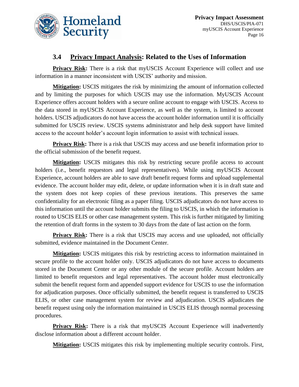

#### **3.4 Privacy Impact Analysis: Related to the Uses of Information**

**Privacy Risk:** There is a risk that myUSCIS Account Experience will collect and use information in a manner inconsistent with USCIS' authority and mission.

**Mitigation:** USCIS mitigates the risk by minimizing the amount of information collected and by limiting the purposes for which USCIS may use the information. MyUSCIS Account Experience offers account holders with a secure online account to engage with USCIS. Access to the data stored in myUSCIS Account Experience, as well as the system, is limited to account holders. USCIS adjudicators do not have access the account holder information until it is officially submitted for USCIS review. USCIS systems administrator and help desk support have limited access to the account holder's account login information to assist with technical issues.

**Privacy Risk:** There is a risk that USCIS may access and use benefit information prior to the official submission of the benefit request.

**Mitigation:** USCIS mitigates this risk by restricting secure profile access to account holders (i.e., benefit requestors and legal representatives). While using myUSCIS Account Experience, account holders are able to save draft benefit request forms and upload supplemental evidence. The account holder may edit, delete, or update information when it is in draft state and the system does not keep copies of these previous iterations. This preserves the same confidentiality for an electronic filing as a paper filing. USCIS adjudicators do not have access to this information until the account holder submits the filing to USCIS, in which the information is routed to USCIS ELIS or other case management system. This risk is further mitigated by limiting the retention of draft forms in the system to 30 days from the date of last action on the form.

**Privacy Risk:** There is a risk that USCIS may access and use uploaded, not officially submitted, evidence maintained in the Document Center.

**Mitigation:** USCIS mitigates this risk by restricting access to information maintained in secure profile to the account holder only. USCIS adjudicators do not have access to documents stored in the Document Center or any other module of the secure profile. Account holders are limited to benefit requestors and legal representatives. The account holder must electronically submit the benefit request form and appended support evidence for USCIS to use the information for adjudication purposes. Once officially submitted, the benefit request is transferred to USCIS ELIS, or other case management system for review and adjudication. USCIS adjudicates the benefit request using only the information maintained in USCIS ELIS through normal processing procedures.

**Privacy Risk:** There is a risk that myUSCIS Account Experience will inadvertently disclose information about a different account holder.

**Mitigation:** USCIS mitigates this risk by implementing multiple security controls. First,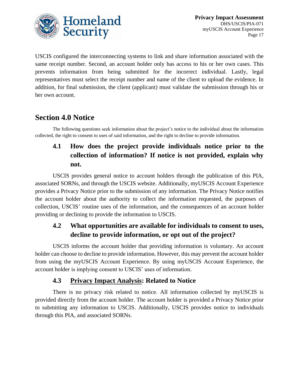

USCIS configured the interconnecting systems to link and share information associated with the same receipt number. Second, an account holder only has access to his or her own cases. This prevents information from being submitted for the incorrect individual. Lastly, legal representatives must select the receipt number and name of the client to upload the evidence. In addition, for final submission, the client (applicant) must validate the submission through his or her own account.

### **Section 4.0 Notice**

The following questions seek information about the project's notice to the individual about the information collected, the right to consent to uses of said information, and the right to decline to provide information.

# **4.1 How does the project provide individuals notice prior to the collection of information? If notice is not provided, explain why not.**

USCIS provides general notice to account holders through the publication of this PIA, associated SORNs, and through the USCIS website. Additionally, myUSCIS Account Experience provides a Privacy Notice prior to the submission of any information. The Privacy Notice notifies the account holder about the authority to collect the information requested, the purposes of collection, USCIS' routine uses of the information, and the consequences of an account holder providing or declining to provide the information to USCIS.

### **4.2 What opportunities are available for individuals to consent to uses, decline to provide information, or opt out of the project?**

USCIS informs the account holder that providing information is voluntary. An account holder can choose to decline to provide information. However, this may prevent the account holder from using the myUSCIS Account Experience. By using myUSCIS Account Experience, the account holder is implying consent to USCIS' uses of information.

#### **4.3 Privacy Impact Analysis: Related to Notice**

There is no privacy risk related to notice. All information collected by myUSCIS is provided directly from the account holder. The account holder is provided a Privacy Notice prior to submitting any information to USCIS. Additionally, USCIS provides notice to individuals through this PIA, and associated SORNs.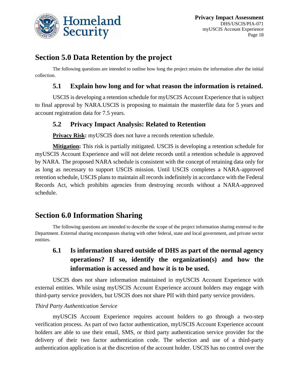

# **Section 5.0 Data Retention by the project**

The following questions are intended to outline how long the project retains the information after the initial collection.

#### **5.1 Explain how long and for what reason the information is retained.**

USCIS is developing a retention schedule for myUSCIS Account Experience that is subject to final approval by NARA.USCIS is proposing to maintain the masterfile data for 5 years and account registration data for 7.5 years.

#### **5.2 Privacy Impact Analysis: Related to Retention**

**Privacy Risk:** myUSCIS does not have a records retention schedule.

**Mitigation:** This risk is partially mitigated. USCIS is developing a retention schedule for myUSCIS Account Experience and will not delete records until a retention schedule is approved by NARA. The proposed NARA schedule is consistent with the concept of retaining data only for as long as necessary to support USCIS mission. Until USCIS completes a NARA-approved retention schedule, USCIS plans to maintain all records indefinitely in accordance with the Federal Records Act, which prohibits agencies from destroying records without a NARA-approved schedule.

# **Section 6.0 Information Sharing**

The following questions are intended to describe the scope of the project information sharing external to the Department. External sharing encompasses sharing with other federal, state and local government, and private sector entities.

# **6.1 Is information shared outside of DHS as part of the normal agency operations? If so, identify the organization(s) and how the information is accessed and how it is to be used.**

USCIS does not share information maintained in myUSCIS Account Experience with external entities. While using myUSCIS Account Experience account holders may engage with third-party service providers, but USCIS does not share PII with third party service providers.

#### *Third Party Authentication Service*

myUSCIS Account Experience requires account holders to go through a two-step verification process. As part of two factor authentication, myUSCIS Account Experience account holders are able to use their email, SMS, or third party authentication service provider for the delivery of their two factor authentication code. The selection and use of a third-party authentication application is at the discretion of the account holder. USCIS has no control over the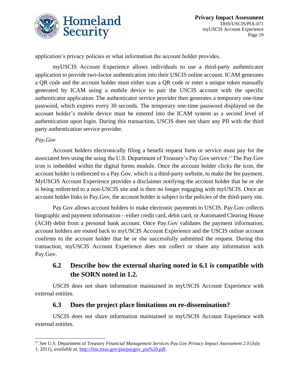

application's privacy policies or what information the account holder provides.

myUSCIS Account Experience allows individuals to use a third-party authenticator application to provide two-factor authentication into their USCIS online account. ICAM generates a QR code and the account holder must either scan a QR code or enter a unique token manually generated by ICAM using a mobile device to pair the USCIS account with the specific authenticator application. The authenticator service provider then generates a temporary one-time password, which expires every 30 seconds. The temporary one-time password displayed on the account holder's mobile device must be entered into the ICAM system as a second level of authentication upon login. During this transaction, USCIS does not share any PII with the third party authentication service provider.

#### *Pay.Gov*

 $\overline{\phantom{a}}$ 

Account holders electronically filing a benefit request form or service must pay for the associated fees using the using the U.S. Department of Treasury's Pay.Gov service.17The Pay.Gov icon is imbedded within the digital forms module. Once the account holder clicks the icon, the account holder is redirected to a Pay.Gov, which is a third-party website, to make the fee payment. MyUSCIS Account Experience provides a disclaimer notifying the account holder that he or she is being redirected to a non-USCIS site and is then no longer engaging with myUSCIS. Once an account holder links to Pay.Gov, the account holder is subject to the policies of the third-party site.

Pay.Gov allows account holders to make electronic payments to USCIS. Pay.Gov collects biographic and payment information—either credit card, debit card, or Automated Clearing House (ACH) debit from a personal bank account. Once Pay.Gov validates the payment information, account holders are routed back to myUSCIS Account Experience and the USCIS online account confirms to the account holder that he or she successfully submitted the request. During this transaction, myUSCIS Account Experience does not collect or share any information with Pay.Gov.

#### **6.2 Describe how the external sharing noted in 6.1 is compatible with the SORN noted in 1.2.**

USCIS does not share information maintained in myUSCIS Account Experience with external entities.

#### **6.3 Does the project place limitations on re-dissemination?**

USCIS does not share information maintained in myUSCIS Account Experience with external entities.

<sup>17</sup> See U.S. Department of Treasury *Financial Management Services Pay.Gov Privacy Impact Assessment 2.0* (July 1, 2011), *available at*, [http://fms.treas.gov/pia/paygov\\_pia%20.pdf.](http://fms.treas.gov/pia/paygov_pia%20.pdf)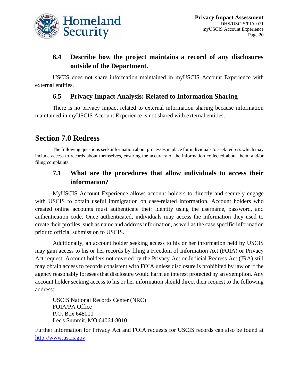

#### **6.4 Describe how the project maintains a record of any disclosures outside of the Department.**

USCIS does not share information maintained in myUSCIS Account Experience with external entities.

#### **6.5 Privacy Impact Analysis: Related to Information Sharing**

There is no privacy impact related to external information sharing because information maintained in myUSCIS Account Experience is not shared with external entities.

### **Section 7.0 Redress**

The following questions seek information about processes in place for individuals to seek redress which may include access to records about themselves, ensuring the accuracy of the information collected about them, and/or filing complaints.

#### **7.1 What are the procedures that allow individuals to access their information?**

MyUSCIS Account Experience allows account holders to directly and securely engage with USCIS to obtain useful immigration on case-related information. Account holders who created online accounts must authenticate their identity using the username, password, and authentication code. Once authenticated, individuals may access the information they used to create their profiles, such as name and address information, as well as the case specific information prior to official submission to USCIS.

Additionally, an account holder seeking access to his or her information held by USCIS may gain access to his or her records by filing a Freedom of Information Act (FOIA) or Privacy Act request. Account holders not covered by the Privacy Act or Judicial Redress Act (JRA) still may obtain access to records consistent with FOIA unless disclosure is prohibited by law or if the agency reasonably foresees that disclosure would harm an interest protected by an exemption. Any account holder seeking access to his or her information should direct their request to the following address:

USCIS National Records Center (NRC) FOIA/PA Office P.O. Box 648010 Lee's Summit, MO 64064-8010

Further information for Privacy Act and FOIA requests for USCIS records can also be found at [http://www.uscis.gov.](http://www.uscis.gov/)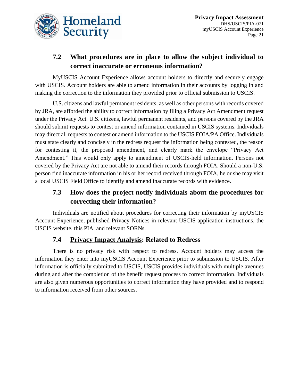

### **7.2 What procedures are in place to allow the subject individual to correct inaccurate or erroneous information?**

MyUSCIS Account Experience allows account holders to directly and securely engage with USCIS. Account holders are able to amend information in their accounts by logging in and making the correction to the information they provided prior to official submission to USCIS.

U.S. citizens and lawful permanent residents, as well as other persons with records covered by JRA, are afforded the ability to correct information by filing a Privacy Act Amendment request under the Privacy Act. U.S. citizens, lawful permanent residents, and persons covered by the JRA should submit requests to contest or amend information contained in USCIS systems. Individuals may direct all requests to contest or amend information to the USCIS FOIA/PA Office. Individuals must state clearly and concisely in the redress request the information being contested, the reason for contesting it, the proposed amendment, and clearly mark the envelope "Privacy Act Amendment." This would only apply to amendment of USCIS-held information. Persons not covered by the Privacy Act are not able to amend their records through FOIA. Should a non-U.S. person find inaccurate information in his or her record received through FOIA, he or she may visit a local USCIS Field Office to identify and amend inaccurate records with evidence.

### **7.3 How does the project notify individuals about the procedures for correcting their information?**

Individuals are notified about procedures for correcting their information by myUSCIS Account Experience, published Privacy Notices in relevant USCIS application instructions, the USCIS website, this PIA, and relevant SORNs.

#### **7.4 Privacy Impact Analysis: Related to Redress**

There is no privacy risk with respect to redress. Account holders may access the information they enter into myUSCIS Account Experience prior to submission to USCIS. After information is officially submitted to USCIS, USCIS provides individuals with multiple avenues during and after the completion of the benefit request process to correct information. Individuals are also given numerous opportunities to correct information they have provided and to respond to information received from other sources.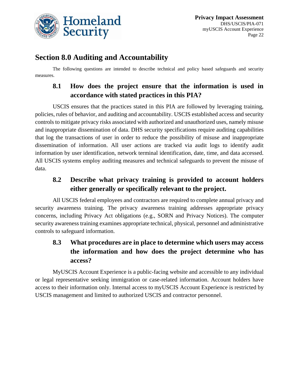

# **Section 8.0 Auditing and Accountability**

The following questions are intended to describe technical and policy based safeguards and security measures.

### **8.1 How does the project ensure that the information is used in accordance with stated practices in this PIA?**

USCIS ensures that the practices stated in this PIA are followed by leveraging training, policies, rules of behavior, and auditing and accountability. USCIS established access and security controls to mitigate privacy risks associated with authorized and unauthorized uses, namely misuse and inappropriate dissemination of data. DHS security specifications require auditing capabilities that log the transactions of user in order to reduce the possibility of misuse and inappropriate dissemination of information. All user actions are tracked via audit logs to identify audit information by user identification, network terminal identification, date, time, and data accessed. All USCIS systems employ auditing measures and technical safeguards to prevent the misuse of data.

### **8.2 Describe what privacy training is provided to account holders either generally or specifically relevant to the project.**

All USCIS federal employees and contractors are required to complete annual privacy and security awareness training. The privacy awareness training addresses appropriate privacy concerns, including Privacy Act obligations (e.g., SORN and Privacy Notices). The computer security awareness training examines appropriate technical, physical, personnel and administrative controls to safeguard information.

# **8.3 What procedures are in place to determine which users may access the information and how does the project determine who has access?**

MyUSCIS Account Experience is a public-facing website and accessible to any individual or legal representative seeking immigration or case-related information. Account holders have access to their information only. Internal access to myUSCIS Account Experience is restricted by USCIS management and limited to authorized USCIS and contractor personnel.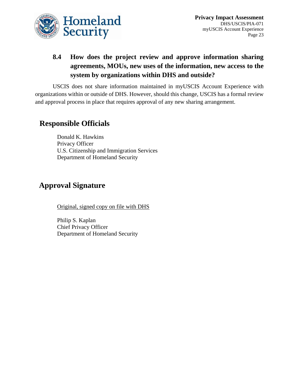

# **8.4 How does the project review and approve information sharing agreements, MOUs, new uses of the information, new access to the system by organizations within DHS and outside?**

USCIS does not share information maintained in myUSCIS Account Experience with organizations within or outside of DHS. However, should this change, USCIS has a formal review and approval process in place that requires approval of any new sharing arrangement.

# **Responsible Officials**

Donald K. Hawkins Privacy Officer U.S. Citizenship and Immigration Services Department of Homeland Security

# **Approval Signature**

Original, signed copy on file with DHS

Philip S. Kaplan Chief Privacy Officer Department of Homeland Security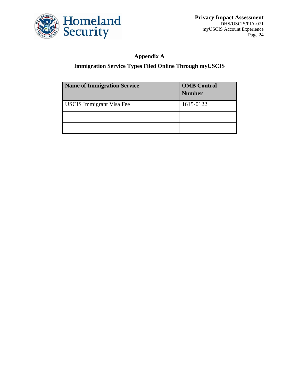

# **Appendix A**

#### **Immigration Service Types Filed Online Through myUSCIS**

| <b>Name of Immigration Service</b> | <b>OMB</b> Control<br><b>Number</b> |
|------------------------------------|-------------------------------------|
| <b>USCIS</b> Immigrant Visa Fee    | 1615-0122                           |
|                                    |                                     |
|                                    |                                     |